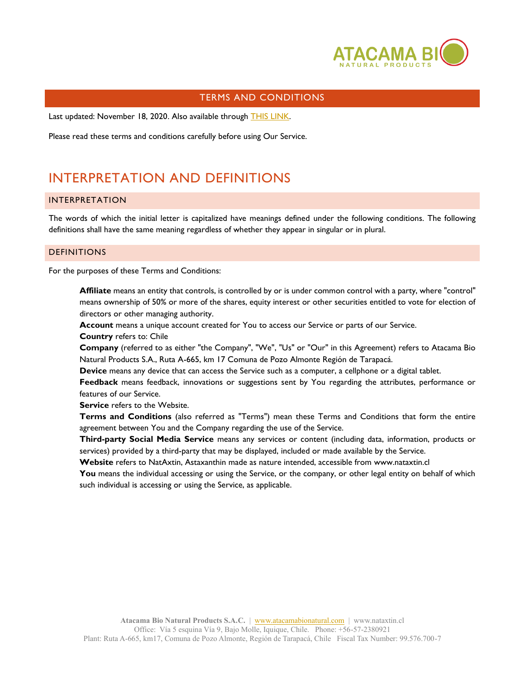

### TERMS AND CONDITIONS

Last updated: November 18, 2020. Also available through [THIS LINK.](https://www.privacypolicies.com/live/4b9fccc8-f85f-4215-9a08-a73e79ad77e1)

Please read these terms and conditions carefully before using Our Service.

# INTERPRETATION AND DEFINITIONS

#### INTERPRETATION

The words of which the initial letter is capitalized have meanings defined under the following conditions. The following definitions shall have the same meaning regardless of whether they appear in singular or in plural.

#### **DEFINITIONS**

For the purposes of these Terms and Conditions:

**Affiliate** means an entity that controls, is controlled by or is under common control with a party, where "control" means ownership of 50% or more of the shares, equity interest or other securities entitled to vote for election of directors or other managing authority.

Account means a unique account created for You to access our Service or parts of our Service.

**Country** refers to: Chile

**Company** (referred to as either "the Company", "We", "Us" or "Our" in this Agreement) refers to Atacama Bio Natural Products S.A., Ruta A-665, km 17 Comuna de Pozo Almonte Región de Tarapacá.

**Device** means any device that can access the Service such as a computer, a cellphone or a digital tablet.

**Feedback** means feedback, innovations or suggestions sent by You regarding the attributes, performance or features of our Service.

**Service** refers to the Website.

**Terms and Conditions** (also referred as "Terms") mean these Terms and Conditions that form the entire agreement between You and the Company regarding the use of the Service.

**Third-party Social Media Service** means any services or content (including data, information, products or services) provided by a third-party that may be displayed, included or made available by the Service.

**Website** refers to NatAxtin, Astaxanthin made as nature intended, accessible from<www.nataxtin.cl>

You means the individual accessing or using the Service, or the company, or other legal entity on behalf of which such individual is accessing or using the Service, as applicable.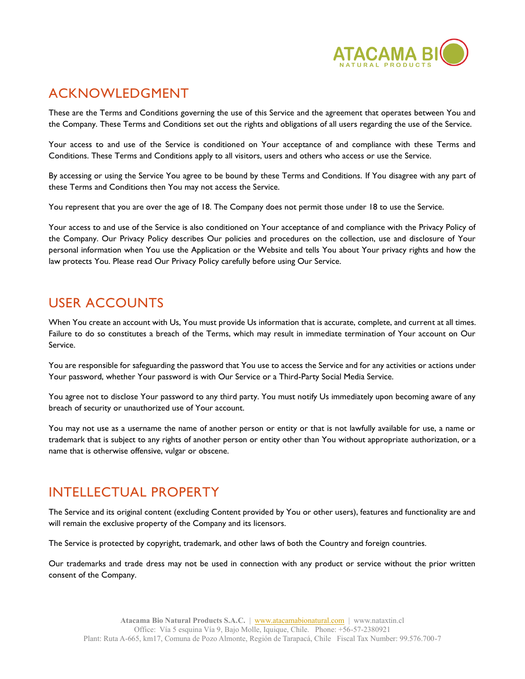

# ACKNOWLEDGMENT

These are the Terms and Conditions governing the use of this Service and the agreement that operates between You and the Company. These Terms and Conditions set out the rights and obligations of all users regarding the use of the Service.

Your access to and use of the Service is conditioned on Your acceptance of and compliance with these Terms and Conditions. These Terms and Conditions apply to all visitors, users and others who access or use the Service.

By accessing or using the Service You agree to be bound by these Terms and Conditions. If You disagree with any part of these Terms and Conditions then You may not access the Service.

You represent that you are over the age of 18. The Company does not permit those under 18 to use the Service.

Your access to and use of the Service is also conditioned on Your acceptance of and compliance with the Privacy Policy of the Company. Our Privacy Policy describes Our policies and procedures on the collection, use and disclosure of Your personal information when You use the Application or the Website and tells You about Your privacy rights and how the law protects You. Please read Our Privacy Policy carefully before using Our Service.

## USER ACCOUNTS

When You create an account with Us, You must provide Us information that is accurate, complete, and current at all times. Failure to do so constitutes a breach of the Terms, which may result in immediate termination of Your account on Our Service.

You are responsible for safeguarding the password that You use to access the Service and for any activities or actions under Your password, whether Your password is with Our Service or a Third-Party Social Media Service.

You agree not to disclose Your password to any third party. You must notify Us immediately upon becoming aware of any breach of security or unauthorized use of Your account.

You may not use as a username the name of another person or entity or that is not lawfully available for use, a name or trademark that is subject to any rights of another person or entity other than You without appropriate authorization, or a name that is otherwise offensive, vulgar or obscene.

# INTELLECTUAL PROPERTY

The Service and its original content (excluding Content provided by You or other users), features and functionality are and will remain the exclusive property of the Company and its licensors.

The Service is protected by copyright, trademark, and other laws of both the Country and foreign countries.

Our trademarks and trade dress may not be used in connection with any product or service without the prior written consent of the Company.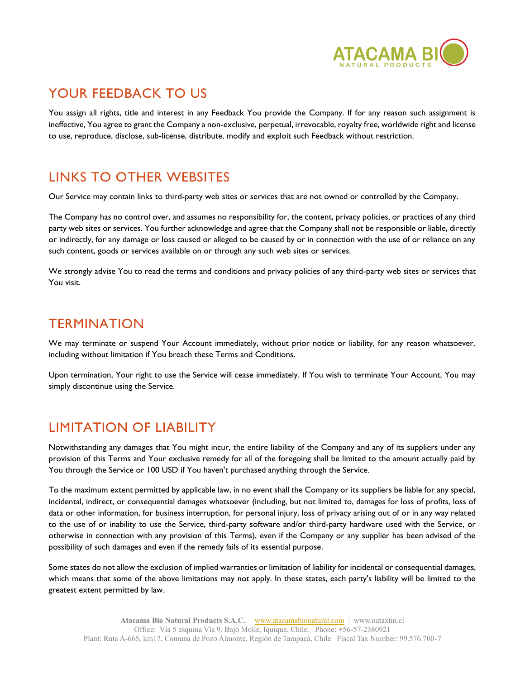

# YOUR FEEDBACK TO US

You assign all rights, title and interest in any Feedback You provide the Company. If for any reason such assignment is ineffective, You agree to grant the Company a non-exclusive, perpetual, irrevocable, royalty free, worldwide right and license to use, reproduce, disclose, sub-license, distribute, modify and exploit such Feedback without restriction.

## LINKS TO OTHER WEBSITES

Our Service may contain links to third-party web sites or services that are not owned or controlled by the Company.

The Company has no control over, and assumes no responsibility for, the content, privacy policies, or practices of any third party web sites or services. You further acknowledge and agree that the Company shall not be responsible or liable, directly or indirectly, for any damage or loss caused or alleged to be caused by or in connection with the use of or reliance on any such content, goods or services available on or through any such web sites or services.

We strongly advise You to read the terms and conditions and privacy policies of any third-party web sites or services that You visit.

### **TERMINATION**

We may terminate or suspend Your Account immediately, without prior notice or liability, for any reason whatsoever, including without limitation if You breach these Terms and Conditions.

Upon termination, Your right to use the Service will cease immediately. If You wish to terminate Your Account, You may simply discontinue using the Service.

# LIMITATION OF LIABILITY

Notwithstanding any damages that You might incur, the entire liability of the Company and any of its suppliers under any provision of this Terms and Your exclusive remedy for all of the foregoing shall be limited to the amount actually paid by You through the Service or 100 USD if You haven't purchased anything through the Service.

To the maximum extent permitted by applicable law, in no event shall the Company or its suppliers be liable for any special, incidental, indirect, or consequential damages whatsoever (including, but not limited to, damages for loss of profits, loss of data or other information, for business interruption, for personal injury, loss of privacy arising out of or in any way related to the use of or inability to use the Service, third-party software and/or third-party hardware used with the Service, or otherwise in connection with any provision of this Terms), even if the Company or any supplier has been advised of the possibility of such damages and even if the remedy fails of its essential purpose.

Some states do not allow the exclusion of implied warranties or limitation of liability for incidental or consequential damages, which means that some of the above limitations may not apply. In these states, each party's liability will be limited to the greatest extent permitted by law.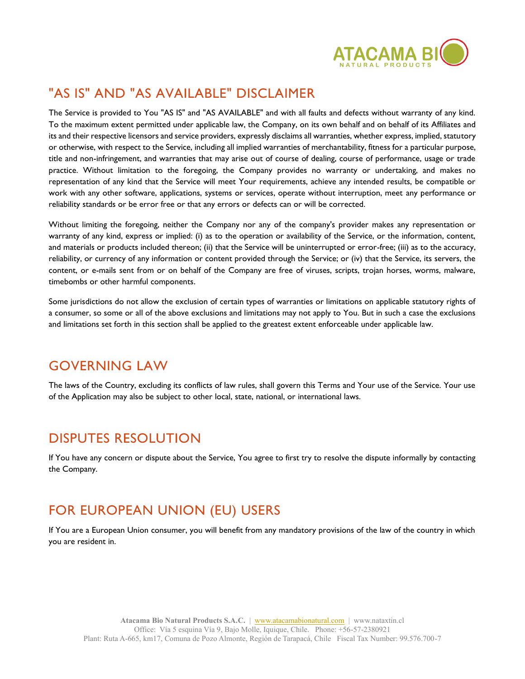

# "AS IS" AND "AS AVAILABLE" DISCLAIMER

The Service is provided to You "AS IS" and "AS AVAILABLE" and with all faults and defects without warranty of any kind. To the maximum extent permitted under applicable law, the Company, on its own behalf and on behalf of its Affiliates and its and their respective licensors and service providers, expressly disclaims all warranties, whether express, implied, statutory or otherwise, with respect to the Service, including all implied warranties of merchantability, fitness for a particular purpose, title and non-infringement, and warranties that may arise out of course of dealing, course of performance, usage or trade practice. Without limitation to the foregoing, the Company provides no warranty or undertaking, and makes no representation of any kind that the Service will meet Your requirements, achieve any intended results, be compatible or work with any other software, applications, systems or services, operate without interruption, meet any performance or reliability standards or be error free or that any errors or defects can or will be corrected.

Without limiting the foregoing, neither the Company nor any of the company's provider makes any representation or warranty of any kind, express or implied: (i) as to the operation or availability of the Service, or the information, content, and materials or products included thereon; (ii) that the Service will be uninterrupted or error-free; (iii) as to the accuracy, reliability, or currency of any information or content provided through the Service; or (iv) that the Service, its servers, the content, or e-mails sent from or on behalf of the Company are free of viruses, scripts, trojan horses, worms, malware, timebombs or other harmful components.

Some jurisdictions do not allow the exclusion of certain types of warranties or limitations on applicable statutory rights of a consumer, so some or all of the above exclusions and limitations may not apply to You. But in such a case the exclusions and limitations set forth in this section shall be applied to the greatest extent enforceable under applicable law.

### GOVERNING LAW

The laws of the Country, excluding its conflicts of law rules, shall govern this Terms and Your use of the Service. Your use of the Application may also be subject to other local, state, national, or international laws.

### DISPUTES RESOLUTION

If You have any concern or dispute about the Service, You agree to first try to resolve the dispute informally by contacting the Company.

# FOR EUROPEAN UNION (EU) USERS

If You are a European Union consumer, you will benefit from any mandatory provisions of the law of the country in which you are resident in.